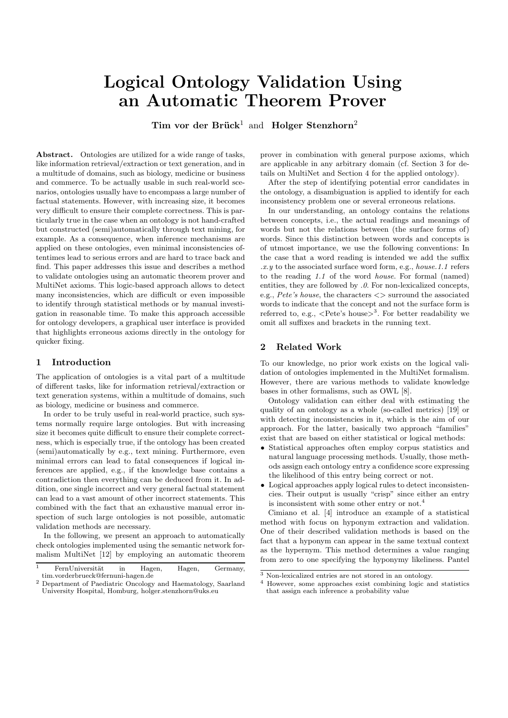# Logical Ontology Validation Using an Automatic Theorem Prover

Tim vor der Brück<sup>1</sup> and Holger Stenzhorn<sup>2</sup>

Abstract. Ontologies are utilized for a wide range of tasks, like information retrieval/extraction or text generation, and in a multitude of domains, such as biology, medicine or business and commerce. To be actually usable in such real-world scenarios, ontologies usually have to encompass a large number of factual statements. However, with increasing size, it becomes very difficult to ensure their complete correctness. This is particularly true in the case when an ontology is not hand-crafted but constructed (semi)automatically through text mining, for example. As a consequence, when inference mechanisms are applied on these ontologies, even minimal inconsistencies oftentimes lead to serious errors and are hard to trace back and find. This paper addresses this issue and describes a method to validate ontologies using an automatic theorem prover and MultiNet axioms. This logic-based approach allows to detect many inconsistencies, which are difficult or even impossible to identify through statistical methods or by manual investigation in reasonable time. To make this approach accessible for ontology developers, a graphical user interface is provided that highlights erroneous axioms directly in the ontology for quicker fixing.

#### 1 Introduction

The application of ontologies is a vital part of a multitude of different tasks, like for information retrieval/extraction or text generation systems, within a multitude of domains, such as biology, medicine or business and commerce.

In order to be truly useful in real-world practice, such systems normally require large ontologies. But with increasing size it becomes quite difficult to ensure their complete correctness, which is especially true, if the ontology has been created (semi)automatically by e.g., text mining. Furthermore, even minimal errors can lead to fatal consequences if logical inferences are applied, e.g., if the knowledge base contains a contradiction then everything can be deduced from it. In addition, one single incorrect and very general factual statement can lead to a vast amount of other incorrect statements. This combined with the fact that an exhaustive manual error inspection of such large ontologies is not possible, automatic validation methods are necessary.

In the following, we present an approach to automatically check ontologies implemented using the semantic network formalism MultiNet [12] by employing an automatic theorem prover in combination with general purpose axioms, which are applicable in any arbitrary domain (cf. Section 3 for details on MultiNet and Section 4 for the applied ontology).

After the step of identifying potential error candidates in the ontology, a disambiguation is applied to identify for each inconsistency problem one or several erroneous relations.

In our understanding, an ontology contains the relations between concepts, i.e., the actual readings and meanings of words but not the relations between (the surface forms of) words. Since this distinction between words and concepts is of utmost importance, we use the following conventions: In the case that a word reading is intended we add the suffix  $x.y$  to the associated surface word form, e.g., house.1.1 refers to the reading 1.1 of the word house. For formal (named) entities, they are followed by .0. For non-lexicalized concepts, e.g., Pete's house, the characters  $\langle \rangle$  surround the associated words to indicate that the concept and not the surface form is referred to, e.g.,  $\langle$ Pete's house $\rangle$ <sup>3</sup>. For better readability we omit all suffixes and brackets in the running text.

#### 2 Related Work

To our knowledge, no prior work exists on the logical validation of ontologies implemented in the MultiNet formalism. However, there are various methods to validate knowledge bases in other formalisms, such as OWL [8].

Ontology validation can either deal with estimating the quality of an ontology as a whole (so-called metrics) [19] or with detecting inconsistencies in it, which is the aim of our approach. For the latter, basically two approach "families" exist that are based on either statistical or logical methods:

- Statistical approaches often employ corpus statistics and natural language processing methods. Usually, those methods assign each ontology entry a confidence score expressing the likelihood of this entry being correct or not.
- Logical approaches apply logical rules to detect inconsistencies. Their output is usually "crisp" since either an entry is inconsistent with some other entry or not.<sup>4</sup>

Cimiano et al. [4] introduce an example of a statistical method with focus on hyponym extraction and validation. One of their described validation methods is based on the fact that a hyponym can appear in the same textual context as the hypernym. This method determines a value ranging from zero to one specifying the hyponymy likeliness. Pantel

FernUniversität in Hagen, Hagen, Germany, tim.vorderbrueck@fernuni-hagen.de

<sup>&</sup>lt;sup>2</sup> Department of Paediatric Oncology and Haematology, Saarland University Hospital, Homburg, holger.stenzhorn@uks.eu

<sup>3</sup> Non-lexicalized entries are not stored in an ontology.

<sup>4</sup> However, some approaches exist combining logic and statistics that assign each inference a probability value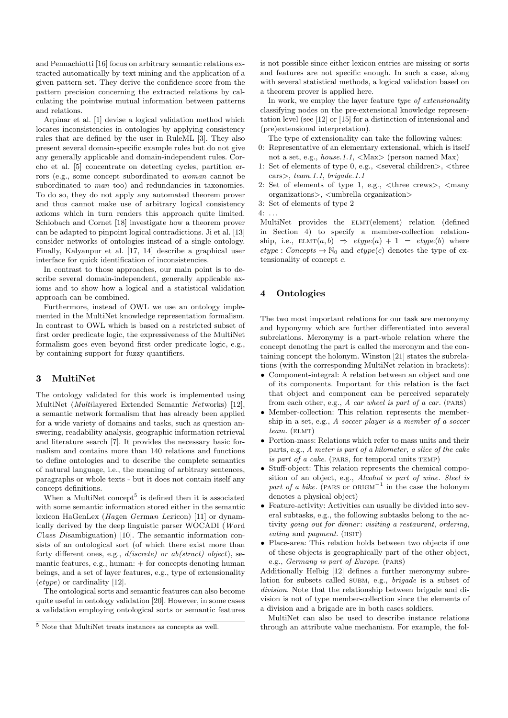and Pennachiotti [16] focus on arbitrary semantic relations extracted automatically by text mining and the application of a given pattern set. They derive the confidence score from the pattern precision concerning the extracted relations by calculating the pointwise mutual information between patterns and relations.

Arpinar et al. [1] devise a logical validation method which locates inconsistencies in ontologies by applying consistency rules that are defined by the user in RuleML [3]. They also present several domain-specific example rules but do not give any generally applicable and domain-independent rules. Corcho et al. [5] concentrate on detecting cycles, partition errors (e.g., some concept subordinated to woman cannot be subordinated to *man* too) and redundancies in taxonomies. To do so, they do not apply any automated theorem prover and thus cannot make use of arbitrary logical consistency axioms which in turn renders this approach quite limited. Schlobach and Cornet [18] investigate how a theorem prover can be adapted to pinpoint logical contradictions. Ji et al. [13] consider networks of ontologies instead of a single ontology. Finally, Kalyanpur et al. [17, 14] describe a graphical user interface for quick identification of inconsistencies.

In contrast to those approaches, our main point is to describe several domain-independent, generally applicable axioms and to show how a logical and a statistical validation approach can be combined.

Furthermore, instead of OWL we use an ontology implemented in the MultiNet knowledge representation formalism. In contrast to OWL which is based on a restricted subset of first order predicate logic, the expressiveness of the MultiNet formalism goes even beyond first order predicate logic, e.g., by containing support for fuzzy quantifiers.

## 3 MultiNet

The ontology validated for this work is implemented using MultiNet (Multilayered Extended Semantic Networks) [12], a semantic network formalism that has already been applied for a wide variety of domains and tasks, such as question answering, readability analysis, geographic information retrieval and literature search [7]. It provides the necessary basic formalism and contains more than 140 relations and functions to define ontologies and to describe the complete semantics of natural language, i.e., the meaning of arbitrary sentences, paragraphs or whole texts - but it does not contain itself any concept definitions.

When a MultiNet concept<sup>5</sup> is defined then it is associated with some semantic information stored either in the semantic lexicon HaGenLex (Hagen German Lexicon) [11] or dynamically derived by the deep linguistic parser WOCADI (Word Class Disambiguation) [10]. The semantic information consists of an ontological sort (of which there exist more than forty different ones, e.g.,  $d(iscrete)$  or  $ab(stract)$  object), semantic features, e.g., human: + for concepts denoting human beings, and a set of layer features, e.g., type of extensionality (etype) or cardinality [12].

The ontological sorts and semantic features can also become quite useful in ontology validation [20]. However, in some cases a validation employing ontological sorts or semantic features is not possible since either lexicon entries are missing or sorts and features are not specific enough. In such a case, along with several statistical methods, a logical validation based on a theorem prover is applied here.

In work, we employ the layer feature type of extensionality classifying nodes on the pre-extensional knowledge representation level (see [12] or [15] for a distinction of intensional and (pre)extensional interpretation).

The type of extensionality can take the following values:

- 0: Representative of an elementary extensional, which is itself not a set, e.g.,  $house.1.1, \langle Max \rangle$  (person named Max)
- 1: Set of elements of type 0, e.g.,  $\langle$  several children $\rangle$ ,  $\langle$  three cars>, team.1.1, brigade.1.1
- 2: Set of elements of type 1, e.g.,  $\langle$  three crews $\rangle$ ,  $\langle$  many organizations>, <umbrella organization>
- 3: Set of elements of type 2

 $4: \ldots$ 

MultiNet provides the ELMT(element) relation (defined in Section 4) to specify a member-collection relationship, i.e.,  $ELMT(a, b) \Rightarrow etype(a) + 1 = etype(b)$  where  $etype: Concepts \rightarrow \mathbb{N}_0$  and  $etype(c)$  denotes the type of extensionality of concept c.

## 4 Ontologies

The two most important relations for our task are meronymy and hyponymy which are further differentiated into several subrelations. Meronymy is a part-whole relation where the concept denoting the part is called the meronym and the containing concept the holonym. Winston [21] states the subrelations (with the corresponding MultiNet relation in brackets):

- Component-integral: A relation between an object and one of its components. Important for this relation is the fact that object and component can be perceived separately from each other, e.g., A car wheel is part of a car. (PARS)
- Member-collection: This relation represents the membership in a set, e.g., A soccer player is a member of a soccer  $team.$  (ELMT)
- Portion-mass: Relations which refer to mass units and their parts, e.g., A meter is part of a kilometer, a slice of the cake is part of a cake. (PARS, for temporal units  $TEMP$ )
- Stuff-object: This relation represents the chemical composition of an object, e.g., Alcohol is part of wine. Steel is part of a bike. (PARS or ORIGM<sup>-1</sup> in the case the holonym denotes a physical object)
- Feature-activity: Activities can usually be divided into several subtasks, e.g., the following subtasks belong to the activity going out for dinner: visiting a restaurant, ordering, eating and payment.  $(HST)$
- Place-area: This relation holds between two objects if one of these objects is geographically part of the other object, e.g., Germany is part of Europe. (pars)

Additionally Helbig [12] defines a further meronymy subrelation for subsets called SUBM, e.g., *brigade* is a subset of division. Note that the relationship between brigade and division is not of type member-collection since the elements of a division and a brigade are in both cases soldiers.

MultiNet can also be used to describe instance relations through an attribute value mechanism. For example, the fol-

 $^5$  Note that MultiNet treats instances as concepts as well.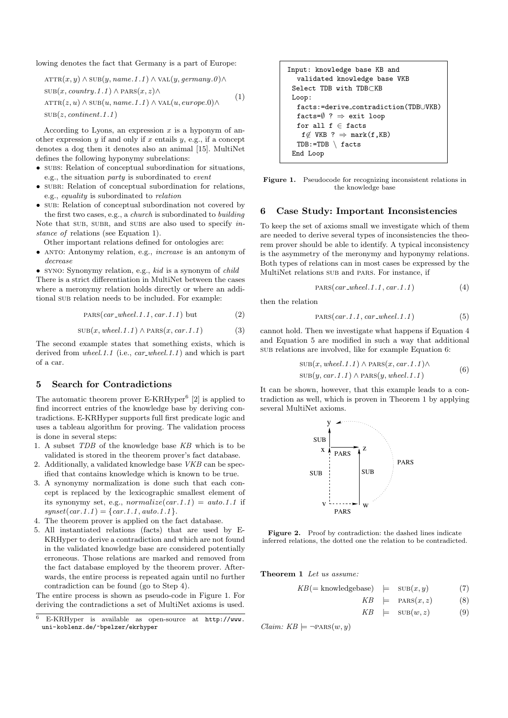lowing denotes the fact that Germany is a part of Europe:

$$
ATTR(x, y) \land SUB(y, name.1.1) \land VAL(y, germany.0) \land
$$
  
\n
$$
SUB(x, country.1.1) \land PARS(x, z) \land
$$
  
\n
$$
ATTR(z, u) \land SUB(u, name.1.1) \land VAL(u, europe.0) \land
$$
  
\n
$$
SUB(z, continent.1.1)
$$
\n(1)

According to Lyons, an expression  $x$  is a hyponym of another expression  $y$  if and only if  $x$  entails  $y$ , e.g., if a concept denotes a dog then it denotes also an animal [15]. MultiNet defines the following hyponymy subrelations:

- subs: Relation of conceptual subordination for situations, e.g., the situation *party* is subordinated to *event*
- SUBR: Relation of conceptual subordination for relations, e.g., equality is subordinated to relation
- sub: Relation of conceptual subordination not covered by the first two cases, e.g., a church is subordinated to building
- Note that sub, subre, and subs are also used to specify instance of relations (see Equation 1).

Other important relations defined for ontologies are:

• ANTO: Antonymy relation, e.g., *increase* is an antonym of decrease

• syno: Synonymy relation, e.g., kid is a synonym of *child* There is a strict differentiation in MultiNet between the cases where a meronymy relation holds directly or where an additional sub relation needs to be included. For example:

$$
PARS(car\_wheel.1.1, car.1.1) but \t(2)
$$

$$
SUB(x, wheel.1.1) \land PARS(x, car.1.1)
$$
 (3)

The second example states that something exists, which is derived from wheel.1.1 (i.e.,  $car\_wheel.1.1$ ) and which is part of a car.

#### 5 Search for Contradictions

The automatic theorem prover E-KRHyper<sup>6</sup> [2] is applied to find incorrect entries of the knowledge base by deriving contradictions. E-KRHyper supports full first predicate logic and uses a tableau algorithm for proving. The validation process is done in several steps:

- 1. A subset TDB of the knowledge base KB which is to be validated is stored in the theorem prover's fact database.
- 2. Additionally, a validated knowledge base VKB can be specified that contains knowledge which is known to be true.
- 3. A synonymy normalization is done such that each concept is replaced by the lexicographic smallest element of its synonymy set, e.g., *normalize*( $car.1.1$ ) =  $auto.1.1$  if  $synset(car.1.1) = \{ car.1.1, auto.1.1 \}.$
- 4. The theorem prover is applied on the fact database.
- 5. All instantiated relations (facts) that are used by E-KRHyper to derive a contradiction and which are not found in the validated knowledge base are considered potentially erroneous. Those relations are marked and removed from the fact database employed by the theorem prover. Afterwards, the entire process is repeated again until no further contradiction can be found (go to Step 4).

The entire process is shown as pseudo-code in Figure 1. For deriving the contradictions a set of MultiNet axioms is used.

```
Input: knowledge base KB and
 validated knowledge base VKB
Select TDB with TDB⊂KB
Loop:
 facts:=derive contradiction(TDB∪VKB)
 facts=\emptyset ? \Rightarrow exit loop
 for all f \in facts
   f \notin VKB ? \Rightarrow mark(f,KB)
 TDB:=TDB \setminus factsEnd Loop
```
Figure 1. Pseudocode for recognizing inconsistent relations in the knowledge base

## 6 Case Study: Important Inconsistencies

To keep the set of axioms small we investigate which of them are needed to derive several types of inconsistencies the theorem prover should be able to identify. A typical inconsistency is the asymmetry of the meronymy and hyponymy relations. Both types of relations can in most cases be expressed by the MultiNet relations sub and pars. For instance, if

$$
PARS(car\_wheel.1.1, car.1.1)
$$
\n(4)

then the relation

$$
PARS(car.1.1, car\_wheel.1.1)
$$
 (5)

cannot hold. Then we investigate what happens if Equation 4 and Equation 5 are modified in such a way that additional sub relations are involved, like for example Equation 6:

$$
SUB(x, wheel.1.1) \land PARS(x, car.1.1) \land SUB(y, car.1.1) \land PARS(y, wheel.1.1)
$$
 (6)

It can be shown, however, that this example leads to a contradiction as well, which is proven in Theorem 1 by applying several MultiNet axioms.



Figure 2. Proof by contradiction: the dashed lines indicate inferred relations, the dotted one the relation to be contradicted.

Theorem 1 Let us assume:

 $KB(= \text{knowledgebase}) \models \text{SUB}(x, y)$  (7)

$$
KB \models \text{PARS}(x, z) \tag{8}
$$

 $KB \equiv \text{SUB}(w, z)$  (9)

 $Claim: KB \models \neg \text{PARS}(w, y)$ 

<sup>6</sup> E-KRHyper is available as open-source at http://www. uni-koblenz.de/~bpelzer/ekrhyper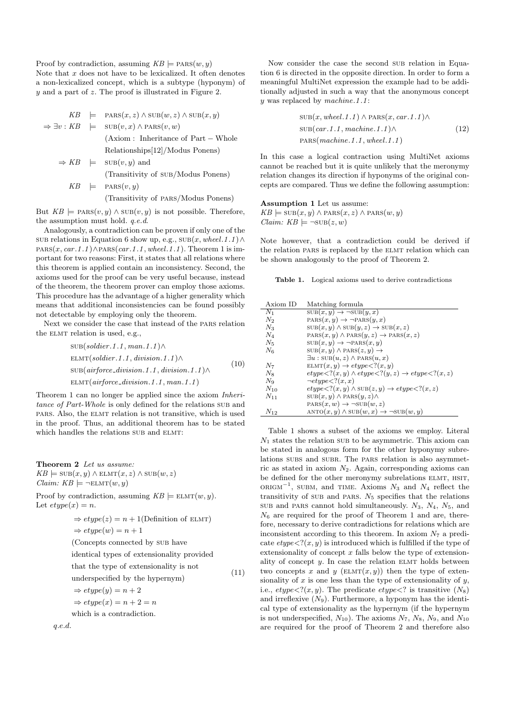Proof by contradiction, assuming  $KB \models$  PARS $(w, y)$ Note that  $x$  does not have to be lexicalized. It often denotes

a non-lexicalized concept, which is a subtype (hyponym) of y and a part of z. The proof is illustrated in Figure 2.

$$
KB \models \text{PARS}(x, z) \land \text{SUB}(w, z) \land \text{SUB}(x, y)
$$
  
\n
$$
\Rightarrow \exists v : KB \models \text{SUB}(v, x) \land \text{PARS}(v, w)
$$
  
\n(Axiom: Inheritance of Part – Whole  
\nRelationships[12]/Modus Ponens)  
\n
$$
\Rightarrow KB \models \text{SUB}(v, y) \text{ and}
$$
  
\n(Transitivity of SUB/Modus Ponens)

$$
KB \models \text{PARS}(v, y) \tag{Transitivity of PARS/Modus Ponens}
$$

But  $KB \models$  PARS $(v, y) \land$  SUB $(v, y)$  is not possible. Therefore, the assumption must hold. q.e.d.

Analogously, a contradiction can be proven if only one of the sub relations in Equation 6 show up, e.g.,  $\text{SUB}(x, wheel.1.1) \land$  $PARS(x, car.1.1) \land PARS(car.1.1, wheel.1.1)$ . Theorem 1 is important for two reasons: First, it states that all relations where this theorem is applied contain an inconsistency. Second, the axioms used for the proof can be very useful because, instead of the theorem, the theorem prover can employ those axioms. This procedure has the advantage of a higher generality which means that additional inconsistencies can be found possibly not detectable by employing only the theorem.

Next we consider the case that instead of the pars relation the ELMT relation is used, e.g.,

$$
SUB(soldier.1.1, man.1.1) \land
$$
  
\n
$$
ELMT(soldier.1.1, division.1.1) \land
$$
  
\n
$$
SUB(airforce\_division.1.1, division.1.1) \land
$$
  
\n
$$
ELMT(airforce\_division.1.1, man.1.1)
$$
\n(10)

Theorem 1 can no longer be applied since the axiom Inheritance of Part-Whole is only defined for the relations SUB and pars. Also, the elmt relation is not transitive, which is used in the proof. Thus, an additional theorem has to be stated which handles the relations SUB and ELMT:

Theorem 2 Let us assume:  $KB \models SUB(x, y) \land ELMT(x, z) \land SUB(w, z)$  $Claim: KB \models \neg \text{ELMT}(w, y)$ 

Proof by contradiction, assuming  $KB \models \text{ELMT}(w, y)$ . Let  $\text{ctype}(x) = n$ .

> $\Rightarrow \text{etype}(z) = n + 1$ (Definition of ELMT)  $\Rightarrow$  etype(ii)

$$
\Rightarrow etype(w) = n + 1
$$

(Concepts connected by sub have

identical types of extensionality provided

(11)

that the type of extensionality is not underspecified by the hypernym)

$$
\Rightarrow \text{etype}(y) = n + 2
$$

 $\Rightarrow \text{ctype}(x) = n + 2 = n$ 

which is a contradiction.

q.e.d.

Now consider the case the second sub relation in Equation 6 is directed in the opposite direction. In order to form a meaningful MultiNet expression the example had to be additionally adjusted in such a way that the anonymous concept  $y$  was replaced by  $machine.1.1$ :

$$
SUB(x, wheel.1.1) \land PARS(x, car.1.1) \land
$$
  
\n
$$
SUB(car.1.1, machine.1.1) \land
$$
  
\n
$$
PARS(machine.1.1, wheel.1.1)
$$
\n(12)

In this case a logical contraction using MultiNet axioms cannot be reached but it is quite unlikely that the meronymy relation changes its direction if hyponyms of the original concepts are compared. Thus we define the following assumption:

Assumption 1 Let us assume:  $KB \models SUB(x, y) \land PARS(x, z) \land PARS(w, y)$  $Claim: KB \models \neg SUB(z, w)$ 

Note however, that a contradiction could be derived if the relation PARS is replaced by the ELMT relation which can be shown analogously to the proof of Theorem 2.

Table 1. Logical axioms used to derive contradictions

| Axiom ID       | Matching formula                                                                 |
|----------------|----------------------------------------------------------------------------------|
| $N_1$          | $SUB(x, y) \rightarrow \neg SUB(y, x)$                                           |
| N <sub>2</sub> | $PARS(x, y) \rightarrow \neg PARS(y, x)$                                         |
| $N_{3}$        | $\text{SUB}(x, y) \land \text{SUB}(y, z) \rightarrow \text{SUB}(x, z)$           |
| $N_4$          | $PARS(x, y) \wedge PARS(y, z) \rightarrow PARS(x, z)$                            |
| $N_{5}$        | $SUB(x, y) \rightarrow \neg PARS(x, y)$                                          |
| N <sub>6</sub> | $SUB(x, y) \wedge PARS(z, y) \rightarrow$                                        |
|                | $\exists u : SUB(u, z) \wedge \text{PARS}(u, x)$                                 |
| N <sub>7</sub> | $ELMT(x, y) \rightarrow etype\langle ?(x, y)$                                    |
| $N_{8}$        | $etype\langle ?(x,y) \wedge etype\langle ?(y,z) \rightarrow etype\langle ?(x,z)$ |
| $N_{9}$        | $\neg \textit{etype} \leq ?(x, x)$                                               |
| $N_{10}$       | $etype\lt;?(x, y) \land SUB(z, y) \rightarrow etype\lt;?(x, z)$                  |
| $N_{11}$       | $SUB(x, y) \wedge PARS(y, z) \wedge$                                             |
|                | $PARS(x, w) \rightarrow \neg SUB(w, z)$                                          |
| $N_{12}$       | $\text{ANTO}(x, y) \wedge \text{SUB}(w, x) \rightarrow \neg \text{SUB}(w, y)$    |

Table 1 shows a subset of the axioms we employ. Literal  $N_1$  states the relation sub to be asymmetric. This axiom can be stated in analogous form for the other hyponymy subrelations subs and subr. The pars relation is also asymmetric as stated in axiom  $N_2$ . Again, corresponding axioms can be defined for the other meronymy subrelations ELMT, HSIT, ORIGM<sup>-1</sup>, SUBM, and TIME. Axioms  $N_3$  and  $N_4$  reflect the transitivity of  $SUB$  and PARS.  $N_5$  specifies that the relations SUB and PARS cannot hold simultaneously.  $N_3$ ,  $N_4$ ,  $N_5$ , and  $N_6$  are required for the proof of Theorem 1 and are, therefore, necessary to derive contradictions for relations which are inconsistent according to this theorem. In axiom  $N_7$  a predicate  $\text{ctype} \leq ?(x, y)$  is introduced which is fulfilled if the type of extensionality of concept  $x$  falls below the type of extensionality of concept  $y$ . In case the relation ELMT holds between two concepts x and y ( $ELMT(x, y)$ ) then the type of extensionality of  $x$  is one less than the type of extensionality of  $y$ , i.e.,  $\text{ctype} \leq ?(x, y)$ . The predicate  $\text{ctype} \leq ?$  is transitive  $(N_8)$ and irreflexive  $(N_9)$ . Furthermore, a hyponym has the identical type of extensionality as the hypernym (if the hypernym is not underspecified,  $N_{10}$ ). The axioms  $N_7$ ,  $N_8$ ,  $N_9$ , and  $N_{10}$ are required for the proof of Theorem 2 and therefore also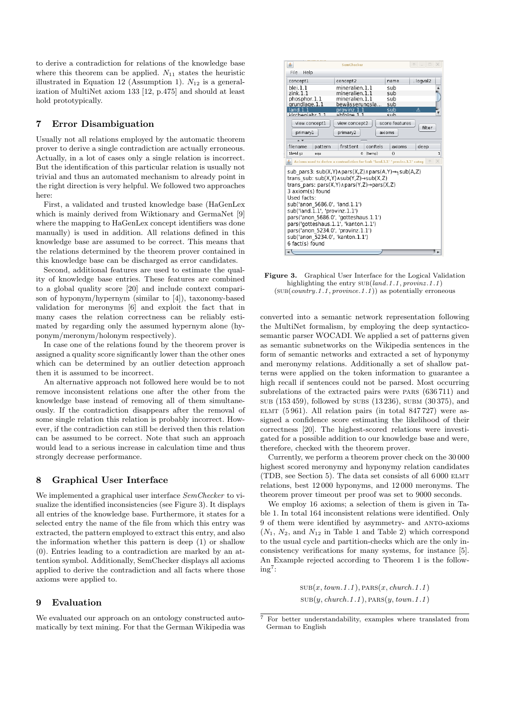to derive a contradiction for relations of the knowledge base where this theorem can be applied.  $N_{11}$  states the heuristic illustrated in Equation 12 (Assumption 1).  $N_{12}$  is a generalization of MultiNet axiom 133 [12, p.475] and should at least hold prototypically.

#### 7 Error Disambiguation

Usually not all relations employed by the automatic theorem prover to derive a single contradiction are actually erroneous. Actually, in a lot of cases only a single relation is incorrect. But the identification of this particular relation is usually not trivial and thus an automated mechanism to already point in the right direction is very helpful. We followed two approaches here:

First, a validated and trusted knowledge base (HaGenLex which is mainly derived from Wiktionary and GermaNet [9] where the mapping to HaGenLex concept identifiers was done manually) is used in addition. All relations defined in this knowledge base are assumed to be correct. This means that the relations determined by the theorem prover contained in this knowledge base can be discharged as error candidates.

Second, additional features are used to estimate the quality of knowledge base entries. These features are combined to a global quality score [20] and include context comparison of hyponym/hypernym (similar to [4]), taxonomy-based validation for meronyms [6] and exploit the fact that in many cases the relation correctness can be reliably estimated by regarding only the assumed hypernym alone (hyponym/meronym/holonym respectively).

In case one of the relations found by the theorem prover is assigned a quality score significantly lower than the other ones which can be determined by an outlier detection approach then it is assumed to be incorrect.

An alternative approach not followed here would be to not remove inconsistent relations one after the other from the knowledge base instead of removing all of them simultaneously. If the contradiction disappears after the removal of some single relation this relation is probably incorrect. However, if the contradiction can still be derived then this relation can be assumed to be correct. Note that such an approach would lead to a serious increase in calculation time and thus strongly decrease performance.

#### 8 Graphical User Interface

We implemented a graphical user interface SemChecker to visualize the identified inconsistencies (see Figure 3). It displays all entries of the knowledge base. Furthermore, it states for a selected entry the name of the file from which this entry was extracted, the pattern employed to extract this entry, and also the information whether this pattern is deep (1) or shallow (0). Entries leading to a contradiction are marked by an attention symbol. Additionally, SemChecker displays all axioms applied to derive the contradiction and all facts where those axioms were applied to.

## 9 Evaluation

We evaluated our approach on an ontology constructed automatically by text mining. For that the German Wikipedia was



Figure 3. Graphical User Interface for the Logical Validation highlighting the entry  $SUB(land.1.1, provinz.1.1)$  $(sUB( country.1.1, province.1.1))$  as potentially erroneous

converted into a semantic network representation following the MultiNet formalism, by employing the deep syntacticosemantic parser WOCADI. We applied a set of patterns given as semantic subnetworks on the Wikipedia sentences in the form of semantic networks and extracted a set of hyponymy and meronymy relations. Additionally a set of shallow patterns were applied on the token information to guarantee a high recall if sentences could not be parsed. Most occurring subrelations of the extracted pairs were PARS  $(636711)$  and sub (153 459), followed by subs (13 236), subm (30 375), and ELMT  $(5 961)$ . All relation pairs (in total 847727) were assigned a confidence score estimating the likelihood of their correctness [20]. The highest-scored relations were investigated for a possible addition to our knowledge base and were, therefore, checked with the theorem prover.

Currently, we perform a theorem prover check on the 30 000 highest scored meronymy and hyponymy relation candidates (TDB, see Section 5). The data set consists of all 6 000 elmt relations, best 12 000 hyponyms, and 12 000 meronyms. The theorem prover timeout per proof was set to 9000 seconds.

We employ 16 axioms; a selection of them is given in Table 1. In total 164 inconsistent relations were identified. Only 9 of them were identified by asymmetry- and anto-axioms  $(N_1, N_2, \text{ and } N_{12} \text{ in Table 1 and Table 2})$  which correspond to the usual cycle and partition-checks which are the only inconsistency verifications for many systems, for instance [5]. An Example rejected according to Theorem 1 is the follow $ing<sup>7</sup>$ :

> $\text{SUB}(x, town.1.1), \text{PARS}(x, church.1.1)$  $\text{SUB}(y, church.1.1), \text{PARS}(y, town.1.1)$

<sup>7</sup> For better understandability, examples where translated from German to English